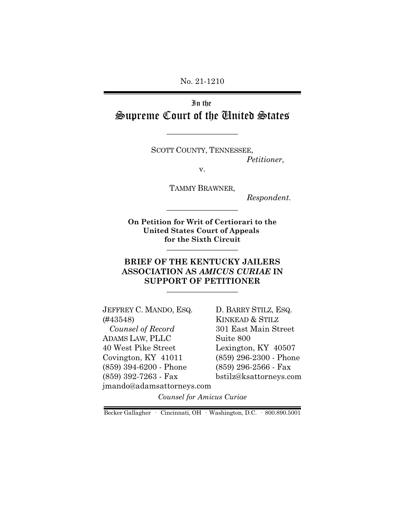No. 21-1210

In the Supreme Court of the United States

SCOTT COUNTY, TENNESSEE,

\_\_\_\_\_\_\_\_\_\_\_\_\_\_\_\_\_\_

*Petitioner*,

v.

TAMMY BRAWNER,

*Respondent.*

**On Petition for Writ of Certiorari to the United States Court of Appeals for the Sixth Circuit** \_\_\_\_\_\_\_\_\_\_\_\_\_\_\_\_\_\_

\_\_\_\_\_\_\_\_\_\_\_\_\_\_\_\_\_\_

### **BRIEF OF THE KENTUCKY JAILERS ASSOCIATION AS** *AMICUS CURIAE* **IN SUPPORT OF PETITIONER** \_\_\_\_\_\_\_\_\_\_\_\_\_\_\_\_\_\_

JEFFREY C. MANDO, ESQ. (#43548)  *Counsel of Record* ADAMS LAW, PLLC 40 West Pike Street Covington, KY 41011 (859) 394-6200 - Phone (859) 392-7263 - Fax jmando@adamsattorneys.com D. BARRY STILZ, ESQ. KINKEAD & STILZ 301 East Main Street Suite 800 Lexington, KY 40507 (859) 296-2300 - Phone (859) 296-2566 - Fax bstilz@ksattorneys.com

*Counsel for Amicus Curiae*

Becker Gallagher · Cincinnati, OH · Washington, D.C. · 800.890.5001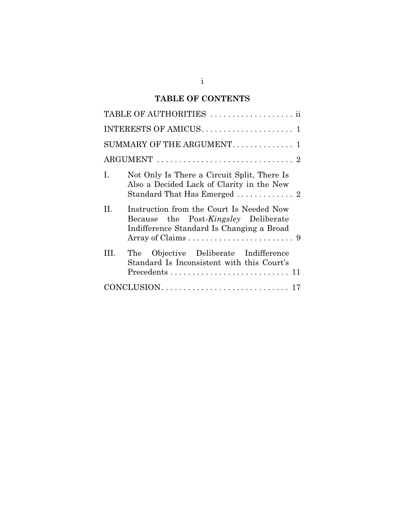# **TABLE OF CONTENTS**

| TABLE OF AUTHORITIES  ii   |                                                                                                                               |  |
|----------------------------|-------------------------------------------------------------------------------------------------------------------------------|--|
|                            |                                                                                                                               |  |
| SUMMARY OF THE ARGUMENT. 1 |                                                                                                                               |  |
|                            |                                                                                                                               |  |
| Ι.                         | Not Only Is There a Circuit Split, There Is<br>Also a Decided Lack of Clarity in the New                                      |  |
| H.                         | Instruction from the Court Is Needed Now<br>Because the Post-Kingsley Deliberate<br>Indifference Standard Is Changing a Broad |  |
| HL.                        | The Objective Deliberate Indifference<br>Standard Is Inconsistent with this Court's                                           |  |
|                            |                                                                                                                               |  |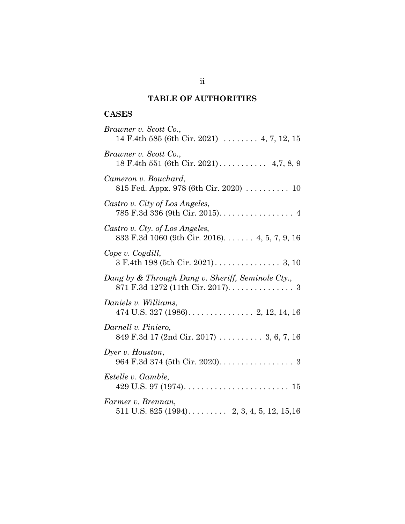# **TABLE OF AUTHORITIES**

# **CASES**

| Brawner v. Scott Co.,<br>14 F.4th 585 (6th Cir. 2021)  4, 7, 12, 15                         |
|---------------------------------------------------------------------------------------------|
| Brawner v. Scott Co.,                                                                       |
| Cameron v. Bouchard,<br>815 Fed. Appx. 978 (6th Cir. 2020) $\ldots \ldots \ldots$ 10        |
| Castro v. City of Los Angeles,<br>785 F.3d 336 (9th Cir. 2015). 4                           |
| Castro v. Cty. of Los Angeles,<br>833 F.3d 1060 (9th Cir. 2016) 4, 5, 7, 9, 16              |
| Cope v. Cogdill,                                                                            |
| Dang by & Through Dang v. Sheriff, Seminole Cty.,<br>871 F.3d 1272 (11th Cir. 2017). 3      |
| Daniels v. Williams,<br>474 U.S. 327 (1986). $\ldots$ . $\ldots$ . $\ldots$ . 2, 12, 14, 16 |
| Darnell v. Piniero,<br>849 F.3d 17 (2nd Cir. 2017)  3, 6, 7, 16                             |
| Dyer v. Houston,<br>$964$ F.3d 374 (5th Cir. 2020). 3                                       |
| Estelle v. Gamble,                                                                          |
| Farmer v. Brennan,<br>511 U.S. 825 (1994) 2, 3, 4, 5, 12, 15, 16                            |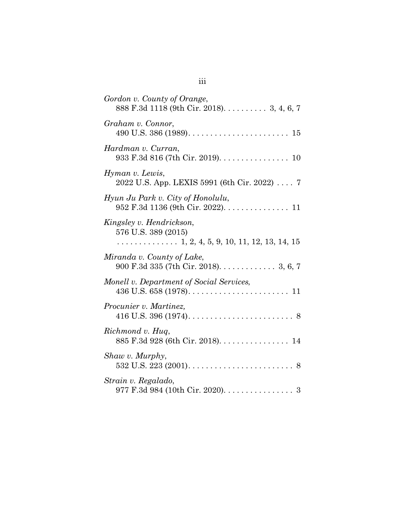| Gordon v. County of Orange,<br>888 F.3d 1118 (9th Cir. 2018). 3, 4, 6, 7                   |
|--------------------------------------------------------------------------------------------|
| Graham v. Connor,                                                                          |
| Hardman v. Curran,<br>933 F.3d 816 (7th Cir. 2019). 10                                     |
| Hyman v. Lewis,<br>2022 U.S. App. LEXIS 5991 (6th Cir. 2022) 7                             |
| Hyun Ju Park v. City of Honolulu,<br>952 F.3d 1136 (9th Cir. 2022). 11                     |
| Kingsley v. Hendrickson,<br>576 U.S. 389 (2015)<br>. 1, 2, 4, 5, 9, 10, 11, 12, 13, 14, 15 |
| Miranda v. County of Lake,<br>900 F.3d 335 (7th Cir. 2018). $\ldots \ldots \ldots$ 3, 6, 7 |
| Monell v. Department of Social Services,                                                   |
| Procunier v. Martinez,                                                                     |
| Richmond v. Hug,<br>885 F.3d 928 (6th Cir. 2018). 14                                       |
| Shaw v. Murphy,                                                                            |
| Strain v. Regalado,<br>977 F.3d 984 (10th Cir. 2020). 3                                    |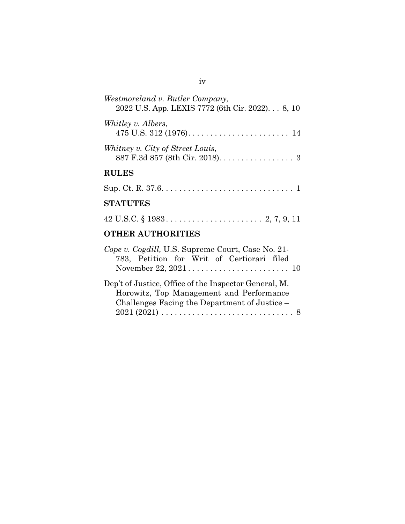| Westmoreland v. Butler Company,<br>2022 U.S. App. LEXIS 7772 (6th Cir. 2022) 8, 10                                |  |  |
|-------------------------------------------------------------------------------------------------------------------|--|--|
| Whitley v. Albers,<br>475 U.S. 312 (1976). $\dots \dots \dots \dots \dots \dots \dots \dots \dots \dots \dots 14$ |  |  |
| Whitney v. City of Street Louis,<br>887 F.3d 857 (8th Cir. 2018). 3                                               |  |  |
| <b>RULES</b>                                                                                                      |  |  |
|                                                                                                                   |  |  |
| <b>STATUTES</b>                                                                                                   |  |  |
|                                                                                                                   |  |  |
| <b>OTHER AUTHORITIES</b>                                                                                          |  |  |
| Cope v. Cogdill, U.S. Supreme Court, Case No. 21-<br>783, Petition for Writ of Certiorari filed                   |  |  |

| Dep't of Justice, Office of the Inspector General, M.                                 |
|---------------------------------------------------------------------------------------|
| Horowitz, Top Management and Performance                                              |
| Challenges Facing the Department of Justice –                                         |
| $2021 (2021) \ldots \ldots \ldots \ldots \ldots \ldots \ldots \ldots \ldots \ldots 8$ |
|                                                                                       |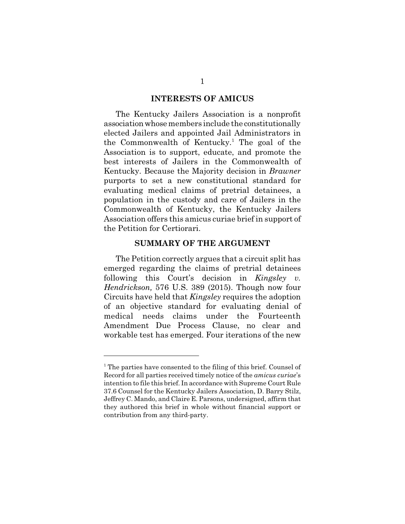#### **INTERESTS OF AMICUS**

The Kentucky Jailers Association is a nonprofit association whose members include the constitutionally elected Jailers and appointed Jail Administrators in the Commonwealth of Kentucky.<sup>1</sup> The goal of the Association is to support, educate, and promote the best interests of Jailers in the Commonwealth of Kentucky. Because the Majority decision in *Brawner* purports to set a new constitutional standard for evaluating medical claims of pretrial detainees, a population in the custody and care of Jailers in the Commonwealth of Kentucky, the Kentucky Jailers Association offers this amicus curiae brief in support of the Petition for Certiorari.

#### **SUMMARY OF THE ARGUMENT**

The Petition correctly argues that a circuit split has emerged regarding the claims of pretrial detainees following this Court's decision in *Kingsley v. Hendrickson,* 576 U.S. 389 (2015). Though now four Circuits have held that *Kingsley* requires the adoption of an objective standard for evaluating denial of medical needs claims under the Fourteenth Amendment Due Process Clause, no clear and workable test has emerged. Four iterations of the new

<sup>&</sup>lt;sup>1</sup> The parties have consented to the filing of this brief. Counsel of Record for all parties received timely notice of the *amicus curiae*'s intention to file this brief. In accordance with Supreme Court Rule 37.6 Counsel for the Kentucky Jailers Association, D. Barry Stilz, Jeffrey C. Mando, and Claire E. Parsons, undersigned, affirm that they authored this brief in whole without financial support or contribution from any third-party.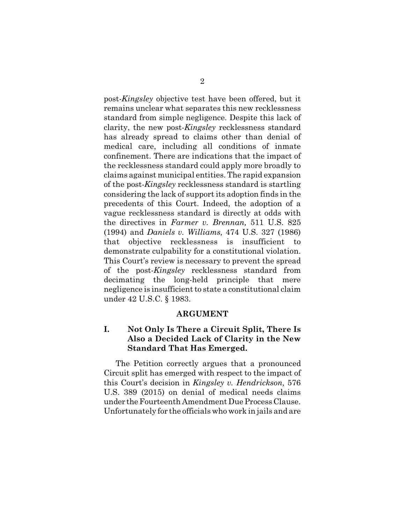post-*Kingsley* objective test have been offered, but it remains unclear what separates this new recklessness standard from simple negligence. Despite this lack of clarity, the new post-*Kingsley* recklessness standard has already spread to claims other than denial of medical care, including all conditions of inmate confinement. There are indications that the impact of the recklessness standard could apply more broadly to claims against municipal entities. The rapid expansion of the post-*Kingsley* recklessness standard is startling considering the lack of support its adoption finds in the precedents of this Court. Indeed, the adoption of a vague recklessness standard is directly at odds with the directives in *Farmer v. Brennan,* 511 U.S. 825 (1994) and *Daniels v. Williams,* 474 U.S. 327 (1986) that objective recklessness is insufficient to demonstrate culpability for a constitutional violation. This Court's review is necessary to prevent the spread of the post-*Kingsley* recklessness standard from decimating the long-held principle that mere negligence is insufficient to state a constitutional claim under 42 U.S.C. § 1983.

#### **ARGUMENT**

## **I. Not Only Is There a Circuit Split, There Is Also a Decided Lack of Clarity in the New Standard That Has Emerged.**

The Petition correctly argues that a pronounced Circuit split has emerged with respect to the impact of this Court's decision in *Kingsley v. Hendrickson,* 576 U.S. 389 (2015) on denial of medical needs claims under the Fourteenth Amendment Due Process Clause. Unfortunately for the officials who work in jails and are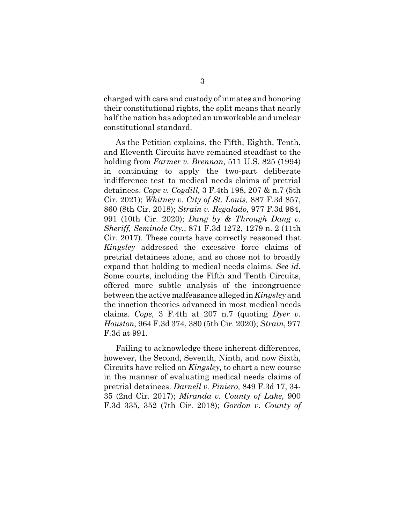charged with care and custody of inmates and honoring their constitutional rights, the split means that nearly half the nation has adopted an unworkable and unclear constitutional standard.

As the Petition explains, the Fifth, Eighth, Tenth, and Eleventh Circuits have remained steadfast to the holding from *Farmer v. Brennan,* 511 U.S. 825 (1994) in continuing to apply the two-part deliberate indifference test to medical needs claims of pretrial detainees. *Cope v. Cogdill,* 3 F.4th 198, 207 & n.7 (5th Cir. 2021); *Whitney v. City of St. Louis,* 887 F.3d 857, 860 (8th Cir. 2018); *Strain v. Regalado,* 977 F.3d 984, 991 (10th Cir. 2020); *Dang by & Through Dang v. Sheriff, Seminole Cty.*, 871 F.3d 1272, 1279 n. 2 (11th Cir. 2017). These courts have correctly reasoned that *Kingsley* addressed the excessive force claims of pretrial detainees alone, and so chose not to broadly expand that holding to medical needs claims. *See id.* Some courts, including the Fifth and Tenth Circuits, offered more subtle analysis of the incongruence between the active malfeasance alleged in *Kingsley* and the inaction theories advanced in most medical needs claims. *Cope,* 3 F.4th at 207 n.7 (quoting *Dyer v. Houston,* 964 F.3d 374, 380 (5th Cir. 2020); *Strain*, 977 F.3d at 991.

Failing to acknowledge these inherent differences, however, the Second, Seventh, Ninth, and now Sixth, Circuits have relied on *Kingsley,* to chart a new course in the manner of evaluating medical needs claims of pretrial detainees. *Darnell v. Piniero,* 849 F.3d 17, 34- 35 (2nd Cir. 2017); *Miranda v. County of Lake,* 900 F.3d 335, 352 (7th Cir. 2018); *Gordon v. County of*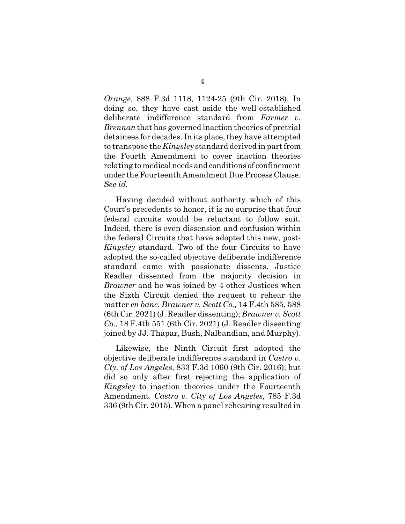*Orange,* 888 F.3d 1118, 1124-25 (9th Cir. 2018). In doing so, they have cast aside the well-established deliberate indifference standard from *Farmer v. Brennan* that has governed inaction theories of pretrial detainees for decades. In its place, they have attempted to transpose the *Kingsley* standard derived in part from the Fourth Amendment to cover inaction theories relating to medical needs and conditions of confinement under the Fourteenth Amendment Due Process Clause. *See id.*

Having decided without authority which of this Court's precedents to honor, it is no surprise that four federal circuits would be reluctant to follow suit. Indeed, there is even dissension and confusion within the federal Circuits that have adopted this new, post-*Kingsley* standard. Two of the four Circuits to have adopted the so-called objective deliberate indifference standard came with passionate dissents. Justice Readler dissented from the majority decision in *Brawner* and he was joined by 4 other Justices when the Sixth Circuit denied the request to rehear the matter *en banc. Brawner v. Scott Co.,* 14 F.4th 585, 588 (6th Cir. 2021) (J. Readler dissenting); *Brawner v. Scott Co.,* 18 F.4th 551 (6th Cir. 2021) (J. Readler dissenting joined by JJ. Thapar, Bush, Nalbandian, and Murphy).

Likewise, the Ninth Circuit first adopted the objective deliberate indifference standard in *Castro v. Cty. of Los Angeles,* 833 F.3d 1060 (9th Cir. 2016), but did so only after first rejecting the application of *Kingsley* to inaction theories under the Fourteenth Amendment. *Castro v. City of Los Angeles,* 785 F.3d 336 (9th Cir. 2015). When a panel rehearing resulted in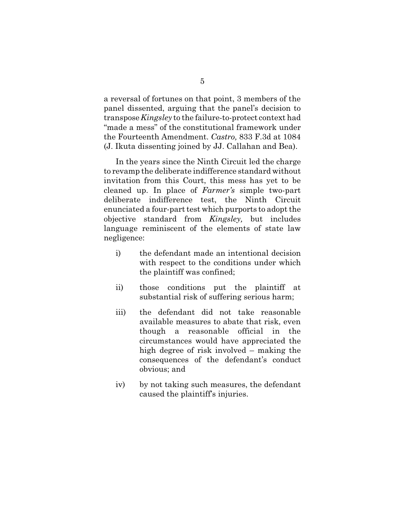a reversal of fortunes on that point, 3 members of the panel dissented, arguing that the panel's decision to transpose *Kingsley* to the failure-to-protect context had "made a mess" of the constitutional framework under the Fourteenth Amendment. *Castro,* 833 F.3d at 1084 (J. Ikuta dissenting joined by JJ. Callahan and Bea).

In the years since the Ninth Circuit led the charge to revamp the deliberate indifference standard without invitation from this Court, this mess has yet to be cleaned up. In place of *Farmer's* simple two-part deliberate indifference test, the Ninth Circuit enunciated a four-part test which purports to adopt the objective standard from *Kingsley,* but includes language reminiscent of the elements of state law negligence:

- i) the defendant made an intentional decision with respect to the conditions under which the plaintiff was confined;
- ii) those conditions put the plaintiff at substantial risk of suffering serious harm;
- iii) the defendant did not take reasonable available measures to abate that risk, even though a reasonable official in the circumstances would have appreciated the high degree of risk involved – making the consequences of the defendant's conduct obvious; and
- iv) by not taking such measures, the defendant caused the plaintiff's injuries.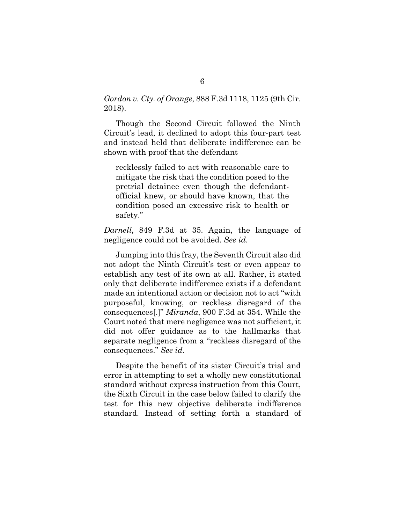*Gordon v. Cty. of Orange*, 888 F.3d 1118, 1125 (9th Cir. 2018).

Though the Second Circuit followed the Ninth Circuit's lead, it declined to adopt this four-part test and instead held that deliberate indifference can be shown with proof that the defendant

recklessly failed to act with reasonable care to mitigate the risk that the condition posed to the pretrial detainee even though the defendantofficial knew, or should have known, that the condition posed an excessive risk to health or safety."

*Darnell*, 849 F.3d at 35. Again, the language of negligence could not be avoided. *See id.*

Jumping into this fray, the Seventh Circuit also did not adopt the Ninth Circuit's test or even appear to establish any test of its own at all. Rather, it stated only that deliberate indifference exists if a defendant made an intentional action or decision not to act "with purposeful, knowing, or reckless disregard of the consequences[.]" *Miranda*, 900 F.3d at 354. While the Court noted that mere negligence was not sufficient, it did not offer guidance as to the hallmarks that separate negligence from a "reckless disregard of the consequences." *See id.*

Despite the benefit of its sister Circuit's trial and error in attempting to set a wholly new constitutional standard without express instruction from this Court, the Sixth Circuit in the case below failed to clarify the test for this new objective deliberate indifference standard. Instead of setting forth a standard of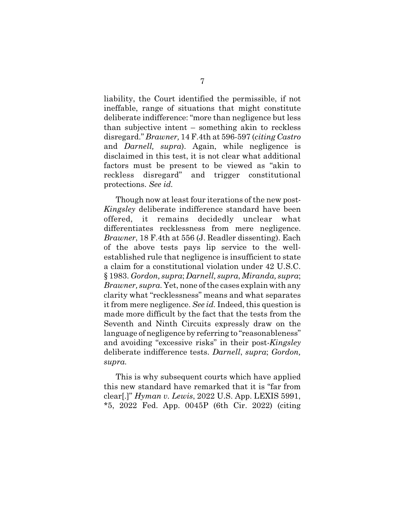liability, the Court identified the permissible, if not ineffable, range of situations that might constitute deliberate indifference: "more than negligence but less than subjective intent – something akin to reckless disregard." *Brawner,* 14 F.4th at 596-597 (*citing Castro* and *Darnell, supra*). Again, while negligence is disclaimed in this test, it is not clear what additional factors must be present to be viewed as "akin to reckless disregard" and trigger constitutional protections. *See id.*

Though now at least four iterations of the new post-*Kingsley* deliberate indifference standard have been offered, it remains decidedly unclear what differentiates recklessness from mere negligence. *Brawner*, 18 F.4th at 556 (J. Readler dissenting). Each of the above tests pays lip service to the wellestablished rule that negligence is insufficient to state a claim for a constitutional violation under 42 U.S.C. § 1983. *Gordon, supra*; *Darnell, supra*, *Miranda, supra*; *Brawner, supra*. Yet, none of the cases explain with any clarity what "recklessness" means and what separates it from mere negligence. *See id.* Indeed, this question is made more difficult by the fact that the tests from the Seventh and Ninth Circuits expressly draw on the language of negligence by referring to "reasonableness" and avoiding "excessive risks" in their post-*Kingsley* deliberate indifference tests. *Darnell*, *supra*; *Gordon, supra.*

This is why subsequent courts which have applied this new standard have remarked that it is "far from clear[.]" *Hyman v. Lewis*, 2022 U.S. App. LEXIS 5991, \*5, 2022 Fed. App. 0045P (6th Cir. 2022) (citing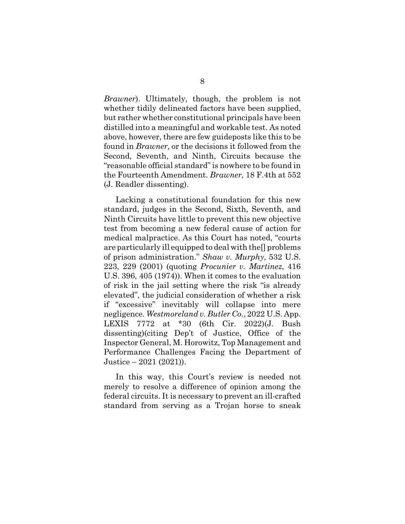*Brawner*). Ultimately, though, the problem is not whether tidily delineated factors have been supplied, but rather whether constitutional principals have been distilled into a meaningful and workable test. As noted above, however, there are few guideposts like this to be found in *Brawner,* or the decisions it followed from the Second, Seventh, and Ninth, Circuits because the "reasonable official standard" is nowhere to be found in the Fourteenth Amendment. *Brawner*, 18 F.4th at 552 (J. Readler dissenting).

Lacking a constitutional foundation for this new standard, judges in the Second, Sixth, Seventh, and Ninth Circuits have little to prevent this new objective test from becoming a new federal cause of action for medical malpractice. As this Court has noted, "courts are particularly ill equipped to deal with the[] problems of prison administration." *Shaw v. Murphy*, 532 U.S. 223, 229 (2001) (quoting *Procunier v. Martinez*, 416 U.S. 396, 405 (1974)). When it comes to the evaluation of risk in the jail setting where the risk "is already elevated", the judicial consideration of whether a risk if "excessive" inevitably will collapse into mere negligence. *Westmoreland v. Butler Co.*, 2022 U.S. App. LEXIS 7772 at \*30 (6th Cir. 2022)(J. Bush dissenting)(citing Dep't of Justice, Office of the Inspector General, M. Horowitz, Top Management and Performance Challenges Facing the Department of Justice – 2021 (2021)).

In this way, this Court's review is needed not merely to resolve a difference of opinion among the federal circuits. It is necessary to prevent an ill-crafted standard from serving as a Trojan horse to sneak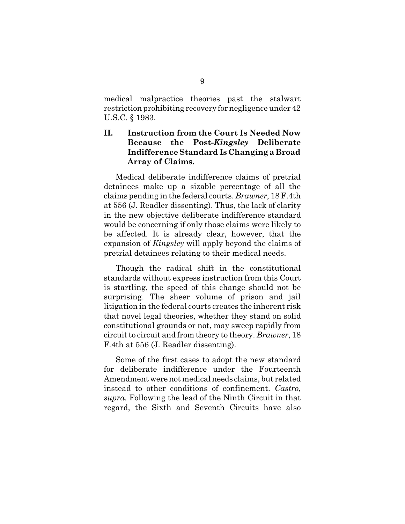medical malpractice theories past the stalwart restriction prohibiting recovery for negligence under 42 U.S.C. § 1983.

## **II. Instruction from the Court Is Needed Now Because the Post-***Kingsley* **Deliberate Indifference Standard Is Changing a Broad Array of Claims.**

Medical deliberate indifference claims of pretrial detainees make up a sizable percentage of all the claims pending in the federal courts. *Brawner*, 18 F.4th at 556 (J. Readler dissenting). Thus, the lack of clarity in the new objective deliberate indifference standard would be concerning if only those claims were likely to be affected. It is already clear, however, that the expansion of *Kingsley* will apply beyond the claims of pretrial detainees relating to their medical needs.

Though the radical shift in the constitutional standards without express instruction from this Court is startling, the speed of this change should not be surprising. The sheer volume of prison and jail litigation in the federal courts creates the inherent risk that novel legal theories, whether they stand on solid constitutional grounds or not, may sweep rapidly from circuit to circuit and from theory to theory. *Brawner*, 18 F.4th at 556 (J. Readler dissenting).

Some of the first cases to adopt the new standard for deliberate indifference under the Fourteenth Amendment were not medical needs claims, but related instead to other conditions of confinement. *Castro*, *supra.* Following the lead of the Ninth Circuit in that regard, the Sixth and Seventh Circuits have also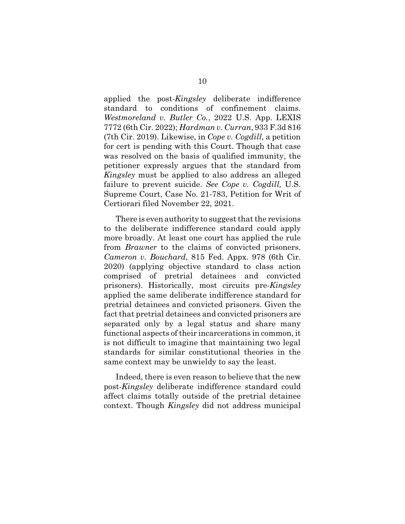applied the post-*Kingsley* deliberate indifference standard to conditions of confinement claims. *Westmoreland v. Butler Co.*, 2022 U.S. App. LEXIS 7772 (6th Cir. 2022); *Hardman v. Curran*, 933 F.3d 816 (7th Cir. 2019). Likewise, in *Cope v. Cogdill*, a petition for cert is pending with this Court. Though that case was resolved on the basis of qualified immunity, the petitioner expressly argues that the standard from *Kingsley* must be applied to also address an alleged failure to prevent suicide. *See Cope v. Cogdill,* U.S. Supreme Court, Case No. 21-783, Petition for Writ of Certiorari filed November 22, 2021.

There is even authority to suggest that the revisions to the deliberate indifference standard could apply more broadly. At least one court has applied the rule from *Brawner* to the claims of convicted prisoners. *Cameron v. Bouchard*, 815 Fed. Appx. 978 (6th Cir. 2020) (applying objective standard to class action comprised of pretrial detainees and convicted prisoners). Historically, most circuits pre-*Kingsley* applied the same deliberate indifference standard for pretrial detainees and convicted prisoners. Given the fact that pretrial detainees and convicted prisoners are separated only by a legal status and share many functional aspects of their incarcerations in common, it is not difficult to imagine that maintaining two legal standards for similar constitutional theories in the same context may be unwieldy to say the least.

Indeed, there is even reason to believe that the new post-*Kingsley* deliberate indifference standard could affect claims totally outside of the pretrial detainee context. Though *Kingsley* did not address municipal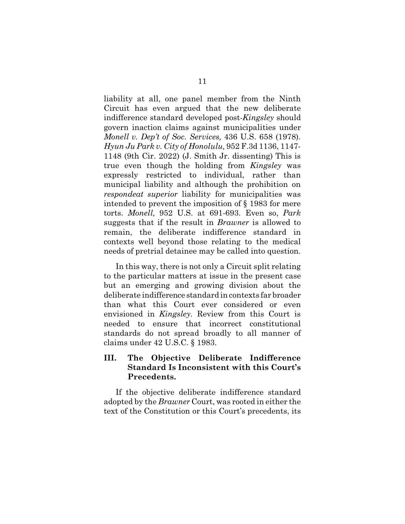liability at all, one panel member from the Ninth Circuit has even argued that the new deliberate indifference standard developed post-*Kingsley* should govern inaction claims against municipalities under *Monell v. Dep't of Soc. Services,* 436 U.S. 658 (1978)*. Hyun Ju Park v. City of Honolulu,* 952 F.3d 1136, 1147- 1148 (9th Cir. 2022) (J. Smith Jr. dissenting) This is true even though the holding from *Kingsley* was expressly restricted to individual, rather than municipal liability and although the prohibition on *respondeat superior* liability for municipalities was intended to prevent the imposition of § 1983 for mere torts. *Monell,* 952 U.S. at 691-693. Even so, *Park* suggests that if the result in *Brawner* is allowed to remain, the deliberate indifference standard in contexts well beyond those relating to the medical needs of pretrial detainee may be called into question.

In this way, there is not only a Circuit split relating to the particular matters at issue in the present case but an emerging and growing division about the deliberate indifference standard in contexts far broader than what this Court ever considered or even envisioned in *Kingsley.* Review from this Court is needed to ensure that incorrect constitutional standards do not spread broadly to all manner of claims under 42 U.S.C. § 1983.

## **III. The Objective Deliberate Indifference Standard Is Inconsistent with this Court's Precedents.**

If the objective deliberate indifference standard adopted by the *Brawner* Court, was rooted in either the text of the Constitution or this Court's precedents, its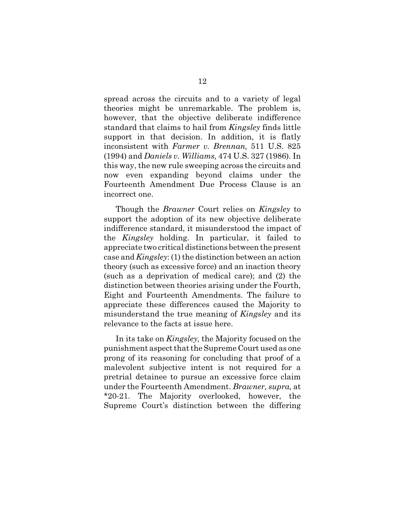spread across the circuits and to a variety of legal theories might be unremarkable. The problem is, however, that the objective deliberate indifference standard that claims to hail from *Kingsley* finds little support in that decision. In addition, it is flatly inconsistent with *Farmer v. Brennan,* 511 U.S. 825 (1994) and *Daniels v. Williams,* 474 U.S. 327 (1986)*.* In this way, the new rule sweeping across the circuits and now even expanding beyond claims under the Fourteenth Amendment Due Process Clause is an incorrect one.

Though the *Brawner* Court relies on *Kingsley* to support the adoption of its new objective deliberate indifference standard, it misunderstood the impact of the *Kingsley* holding. In particular, it failed to appreciate two critical distinctions between the present case and *Kingsley*: (1) the distinction between an action theory (such as excessive force) and an inaction theory (such as a deprivation of medical care); and (2) the distinction between theories arising under the Fourth, Eight and Fourteenth Amendments. The failure to appreciate these differences caused the Majority to misunderstand the true meaning of *Kingsley* and its relevance to the facts at issue here.

In its take on *Kingsley,* the Majority focused on the punishment aspect that the Supreme Court used as one prong of its reasoning for concluding that proof of a malevolent subjective intent is not required for a pretrial detainee to pursue an excessive force claim under the Fourteenth Amendment. *Brawner, supra,* at \*20-21. The Majority overlooked, however, the Supreme Court's distinction between the differing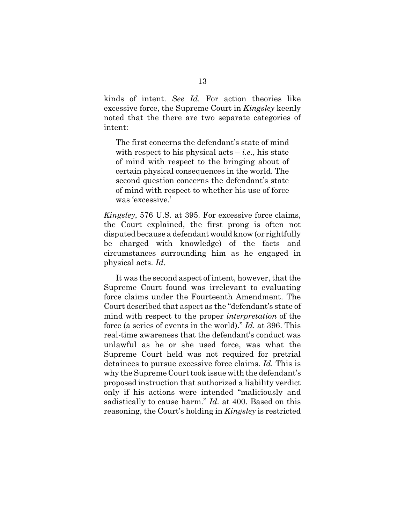kinds of intent. *See Id.* For action theories like excessive force, the Supreme Court in *Kingsley* keenly noted that the there are two separate categories of intent:

The first concerns the defendant's state of mind with respect to his physical acts  $-i.e.,$  his state of mind with respect to the bringing about of certain physical consequences in the world. The second question concerns the defendant's state of mind with respect to whether his use of force was 'excessive.'

*Kingsley*, 576 U.S. at 395. For excessive force claims, the Court explained, the first prong is often not disputed because a defendant would know (or rightfully be charged with knowledge) of the facts and circumstances surrounding him as he engaged in physical acts. *Id*.

It was the second aspect of intent, however, that the Supreme Court found was irrelevant to evaluating force claims under the Fourteenth Amendment. The Court described that aspect as the "defendant's state of mind with respect to the proper *interpretation* of the force (a series of events in the world)." *Id.* at 396. This real-time awareness that the defendant's conduct was unlawful as he or she used force, was what the Supreme Court held was not required for pretrial detainees to pursue excessive force claims. *Id.* This is why the Supreme Court took issue with the defendant's proposed instruction that authorized a liability verdict only if his actions were intended "maliciously and sadistically to cause harm." *Id.* at 400. Based on this reasoning, the Court's holding in *Kingsley* is restricted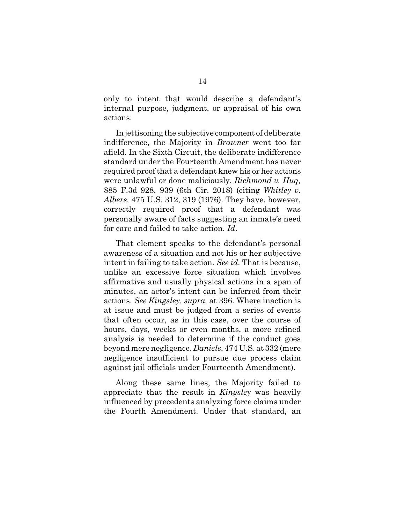only to intent that would describe a defendant's internal purpose, judgment, or appraisal of his own actions.

In jettisoning the subjective component of deliberate indifference, the Majority in *Brawner* went too far afield. In the Sixth Circuit, the deliberate indifference standard under the Fourteenth Amendment has never required proof that a defendant knew his or her actions were unlawful or done maliciously. *Richmond v. Huq,* 885 F.3d 928, 939 (6th Cir. 2018) (citing *Whitley v. Albers,* 475 U.S. 312, 319 (1976). They have, however, correctly required proof that a defendant was personally aware of facts suggesting an inmate's need for care and failed to take action. *Id*.

That element speaks to the defendant's personal awareness of a situation and not his or her subjective intent in failing to take action. *See id.* That is because, unlike an excessive force situation which involves affirmative and usually physical actions in a span of minutes, an actor's intent can be inferred from their actions. *See Kingsley, supra,* at 396. Where inaction is at issue and must be judged from a series of events that often occur, as in this case, over the course of hours, days, weeks or even months, a more refined analysis is needed to determine if the conduct goes beyond mere negligence. *Daniels*, 474 U.S. at 332 (mere negligence insufficient to pursue due process claim against jail officials under Fourteenth Amendment).

Along these same lines, the Majority failed to appreciate that the result in *Kingsley* was heavily influenced by precedents analyzing force claims under the Fourth Amendment. Under that standard, an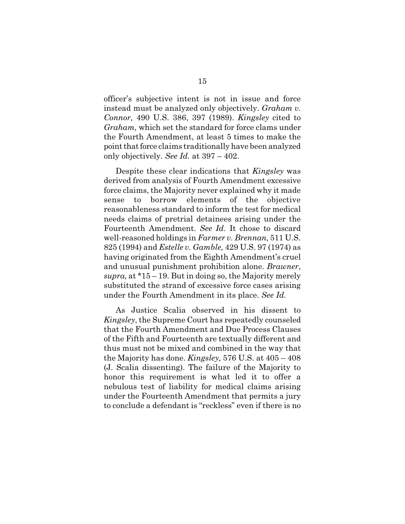officer's subjective intent is not in issue and force instead must be analyzed only objectively. *Graham v. Connor,* 490 U.S. 386, 397 (1989). *Kingsley* cited to *Graham*, which set the standard for force clams under the Fourth Amendment, at least 5 times to make the point that force claims traditionally have been analyzed only objectively. *See Id.* at 397 – 402.

Despite these clear indications that *Kingsley* was derived from analysis of Fourth Amendment excessive force claims, the Majority never explained why it made sense to borrow elements of the objective reasonableness standard to inform the test for medical needs claims of pretrial detainees arising under the Fourteenth Amendment. *See Id.* It chose to discard well-reasoned holdings in *Farmer v. Brennan,* 511 U.S. 825 (1994) and *Estelle v. Gamble,* 429 U.S. 97 (1974) as having originated from the Eighth Amendment's cruel and unusual punishment prohibition alone. *Brawner*, *supra,* at \*15 – 19. But in doing so, the Majority merely substituted the strand of excessive force cases arising under the Fourth Amendment in its place. *See Id.*

As Justice Scalia observed in his dissent to *Kingsley*, the Supreme Court has repeatedly counseled that the Fourth Amendment and Due Process Clauses of the Fifth and Fourteenth are textually different and thus must not be mixed and combined in the way that the Majority has done. *Kingsley,* 576 U.S. at 405 – 408 (J. Scalia dissenting). The failure of the Majority to honor this requirement is what led it to offer a nebulous test of liability for medical claims arising under the Fourteenth Amendment that permits a jury to conclude a defendant is "reckless" even if there is no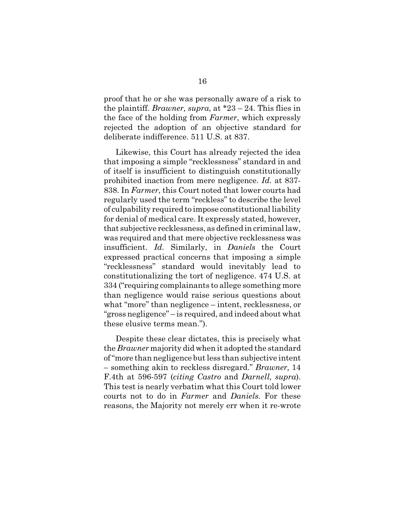proof that he or she was personally aware of a risk to the plaintiff. *Brawner, supra*, at \*23 – 24. This flies in the face of the holding from *Farmer*, which expressly rejected the adoption of an objective standard for deliberate indifference. 511 U.S. at 837.

Likewise, this Court has already rejected the idea that imposing a simple "recklessness" standard in and of itself is insufficient to distinguish constitutionally prohibited inaction from mere negligence. *Id.* at 837- 838. In *Farmer*, this Court noted that lower courts had regularly used the term "reckless" to describe the level of culpability required to impose constitutional liability for denial of medical care. It expressly stated, however, that subjective recklessness, as defined in criminal law, was required and that mere objective recklessness was insufficient. *Id.* Similarly, in *Daniels* the Court expressed practical concerns that imposing a simple "recklessness" standard would inevitably lead to constitutionalizing the tort of negligence. 474 U.S. at 334 ("requiring complainants to allege something more than negligence would raise serious questions about what "more" than negligence – intent, recklessness, or "gross negligence" – is required, and indeed about what these elusive terms mean.").

Despite these clear dictates, this is precisely what the *Brawner* majority did when it adopted the standard of "more than negligence but less than subjective intent – something akin to reckless disregard." *Brawner,* 14 F.4th at 596-597 (*citing Castro* and *Darnell, supra*). This test is nearly verbatim what this Court told lower courts not to do in *Farmer* and *Daniels.* For these reasons, the Majority not merely err when it re-wrote